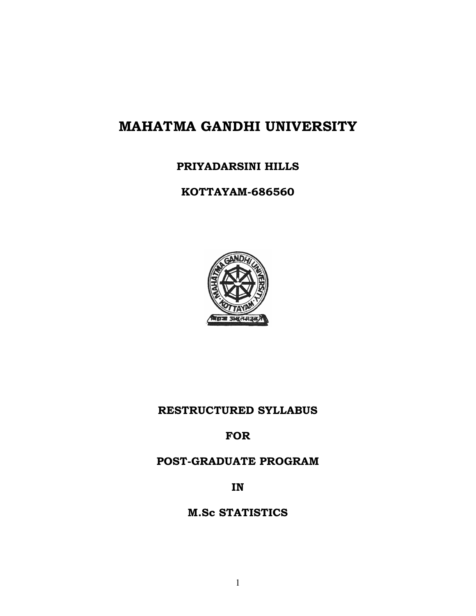# **MAHATMA GANDHI UNIVERSITY**

# **PRIYADARSINI HILLS**

# **KOTTAYAM-686560**



# **RESTRUCTURED SYLLABUS**

**FOR** 

# **POST-GRADUATE PROGRAM**

**IN** 

# **M.Sc STATISTICS**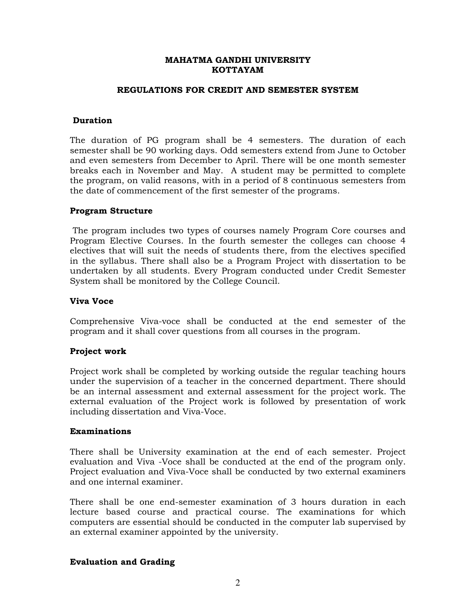#### **MAHATMA GANDHI UNIVERSITY KOTTAYAM**

#### **REGULATIONS FOR CREDIT AND SEMESTER SYSTEM**

#### **Duration**

The duration of PG program shall be 4 semesters. The duration of each semester shall be 90 working days. Odd semesters extend from June to October and even semesters from December to April. There will be one month semester breaks each in November and May. A student may be permitted to complete the program, on valid reasons, with in a period of 8 continuous semesters from the date of commencement of the first semester of the programs.

#### **Program Structure**

 The program includes two types of courses namely Program Core courses and Program Elective Courses. In the fourth semester the colleges can choose 4 electives that will suit the needs of students there, from the electives specified in the syllabus. There shall also be a Program Project with dissertation to be undertaken by all students. Every Program conducted under Credit Semester System shall be monitored by the College Council.

#### **Viva Voce**

Comprehensive Viva-voce shall be conducted at the end semester of the program and it shall cover questions from all courses in the program.

#### **Project work**

Project work shall be completed by working outside the regular teaching hours under the supervision of a teacher in the concerned department. There should be an internal assessment and external assessment for the project work. The external evaluation of the Project work is followed by presentation of work including dissertation and Viva-Voce.

#### **Examinations**

There shall be University examination at the end of each semester. Project evaluation and Viva -Voce shall be conducted at the end of the program only. Project evaluation and Viva-Voce shall be conducted by two external examiners and one internal examiner.

There shall be one end-semester examination of 3 hours duration in each lecture based course and practical course. The examinations for which computers are essential should be conducted in the computer lab supervised by an external examiner appointed by the university.

### **Evaluation and Grading**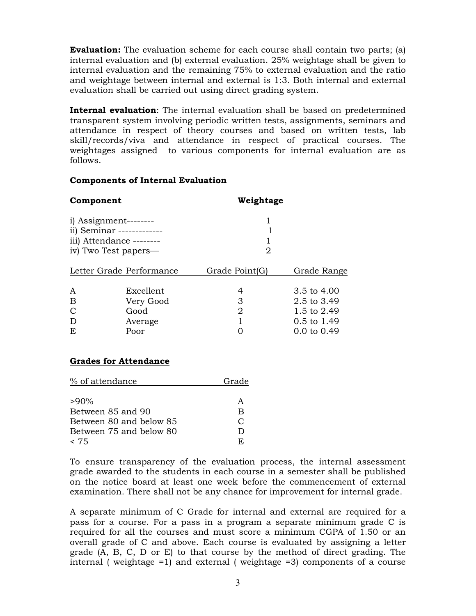**Evaluation:** The evaluation scheme for each course shall contain two parts; (a) internal evaluation and (b) external evaluation. 25% weightage shall be given to internal evaluation and the remaining 75% to external evaluation and the ratio and weightage between internal and external is 1:3. Both internal and external evaluation shall be carried out using direct grading system.

**Internal evaluation**: The internal evaluation shall be based on predetermined transparent system involving periodic written tests, assignments, seminars and attendance in respect of theory courses and based on written tests, lab skill/records/viva and attendance in respect of practical courses. The weightages assigned to various components for internal evaluation are as follows.

#### **Components of Internal Evaluation**

| Component                 |                          | Weightage      |             |  |
|---------------------------|--------------------------|----------------|-------------|--|
|                           | $i)$ Assignment--------- |                |             |  |
| ii) Seminar ------------- |                          |                |             |  |
| iii) Attendance --------  |                          |                |             |  |
| iv) Two Test papers—      |                          | 2              |             |  |
| Letter Grade Performance  |                          | Grade Point(G) | Grade Range |  |
| A                         | Excellent                | 4              | 3.5 to 4.00 |  |
| B                         | Very Good                | З              | 2.5 to 3.49 |  |

C Good 2 1.5 to 2.49 D Average 1 0.5 to 1.49

| E | Poor | $0.0 \text{ to } 0.49$ |
|---|------|------------------------|
|   |      |                        |

### **Grades for Attendance**

| % of attendance         | Grade  |
|-------------------------|--------|
|                         |        |
| $>90\%$                 | A      |
| Between 85 and 90       | B      |
| Between 80 and below 85 | $\cap$ |
| Between 75 and below 80 | Ð      |
| < 75                    | E.     |

To ensure transparency of the evaluation process, the internal assessment grade awarded to the students in each course in a semester shall be published on the notice board at least one week before the commencement of external examination. There shall not be any chance for improvement for internal grade.

A separate minimum of C Grade for internal and external are required for a pass for a course. For a pass in a program a separate minimum grade C is required for all the courses and must score a minimum CGPA of 1.50 or an overall grade of C and above. Each course is evaluated by assigning a letter grade (A, B, C, D or E) to that course by the method of direct grading. The internal ( weightage =1) and external ( weightage =3) components of a course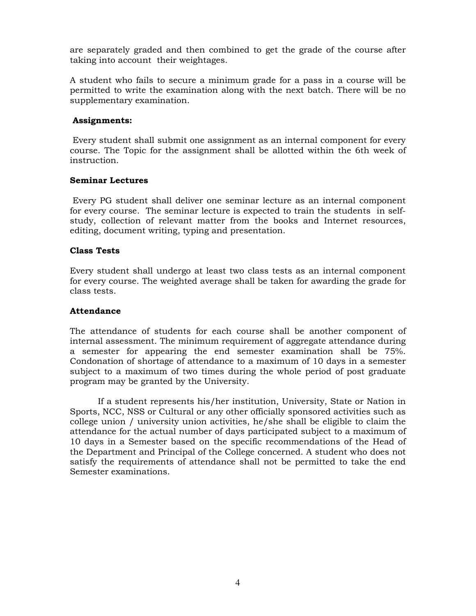are separately graded and then combined to get the grade of the course after taking into account their weightages.

A student who fails to secure a minimum grade for a pass in a course will be permitted to write the examination along with the next batch. There will be no supplementary examination.

#### **Assignments:**

 Every student shall submit one assignment as an internal component for every course. The Topic for the assignment shall be allotted within the 6th week of instruction.

#### **Seminar Lectures**

 Every PG student shall deliver one seminar lecture as an internal component for every course. The seminar lecture is expected to train the students in selfstudy, collection of relevant matter from the books and Internet resources, editing, document writing, typing and presentation.

#### **Class Tests**

Every student shall undergo at least two class tests as an internal component for every course. The weighted average shall be taken for awarding the grade for class tests.

#### **Attendance**

The attendance of students for each course shall be another component of internal assessment. The minimum requirement of aggregate attendance during a semester for appearing the end semester examination shall be 75%. Condonation of shortage of attendance to a maximum of 10 days in a semester subject to a maximum of two times during the whole period of post graduate program may be granted by the University.

If a student represents his/her institution, University, State or Nation in Sports, NCC, NSS or Cultural or any other officially sponsored activities such as college union / university union activities, he/she shall be eligible to claim the attendance for the actual number of days participated subject to a maximum of 10 days in a Semester based on the specific recommendations of the Head of the Department and Principal of the College concerned. A student who does not satisfy the requirements of attendance shall not be permitted to take the end Semester examinations.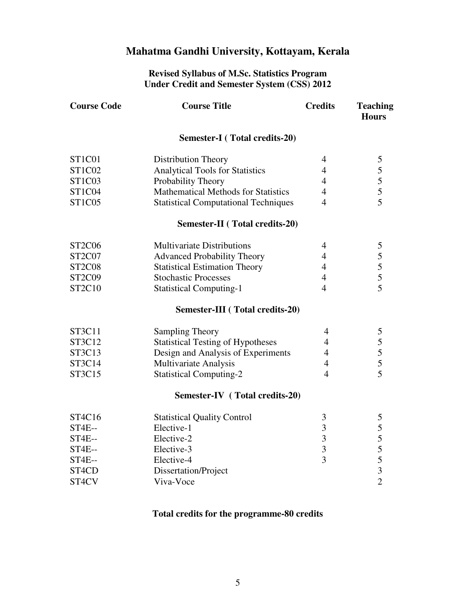# **Mahatma Gandhi University, Kottayam, Kerala**

#### **Revised Syllabus of M.Sc. Statistics Program Under Credit and Semester System (CSS) 2012**

| <b>Course Code</b> | <b>Course Title</b>                         | <b>Credits</b>          | <b>Teaching</b><br><b>Hours</b>            |
|--------------------|---------------------------------------------|-------------------------|--------------------------------------------|
|                    | <b>Semester-I</b> (Total credits-20)        |                         |                                            |
| ST1C01             | Distribution Theory                         | $\overline{4}$          | $\mathfrak{S}$                             |
| ST1C02             | <b>Analytical Tools for Statistics</b>      | $\overline{4}$          | $\frac{5}{5}$                              |
| <b>ST1C03</b>      | Probability Theory                          | $\overline{4}$          |                                            |
| <b>ST1C04</b>      | <b>Mathematical Methods for Statistics</b>  | $\overline{4}$          |                                            |
| <b>ST1C05</b>      | <b>Statistical Computational Techniques</b> | $\overline{4}$          | $\overline{5}$                             |
|                    | <b>Semester-II</b> (Total credits-20)       |                         |                                            |
| <b>ST2C06</b>      | <b>Multivariate Distributions</b>           | $\overline{4}$          | 5                                          |
| ST2C07             | <b>Advanced Probability Theory</b>          | $\overline{4}$          |                                            |
| <b>ST2C08</b>      | <b>Statistical Estimation Theory</b>        | $\overline{4}$          | $\begin{array}{c} 5 \\ 5 \\ 5 \end{array}$ |
| <b>ST2C09</b>      | <b>Stochastic Processes</b>                 | $\overline{4}$          |                                            |
| ST2C10             | <b>Statistical Computing-1</b>              | $\overline{4}$          | $\overline{5}$                             |
|                    | <b>Semester-III</b> (Total credits-20)      |                         |                                            |
| ST3C11             | <b>Sampling Theory</b>                      | $\overline{4}$          | 5                                          |
| ST3C12             | <b>Statistical Testing of Hypotheses</b>    | $\overline{4}$          | 5                                          |
| ST3C13             | Design and Analysis of Experiments          | $\overline{4}$          | $\frac{5}{5}$                              |
| ST3C14             | Multivariate Analysis                       | $\overline{4}$          |                                            |
| ST3C15             | <b>Statistical Computing-2</b>              | $\overline{4}$          |                                            |
|                    | <b>Semester-IV</b> (Total credits-20)       |                         |                                            |
| ST4C16             | <b>Statistical Quality Control</b>          | 3                       | 5                                          |
| <b>ST4E--</b>      | Elective-1                                  | $\mathfrak{Z}$          | 5                                          |
| ST4E--             | Elective-2                                  | $\overline{\mathbf{3}}$ | 5                                          |
| ST4E--             | Elective-3                                  | $\overline{3}$          | 5                                          |
| <b>ST4E--</b>      | Elective-4                                  | 3                       | $\overline{5}$                             |
| ST4CD              | Dissertation/Project                        |                         | $\overline{\mathbf{3}}$                    |
| ST4CV              | Viva-Voce                                   |                         | $\overline{2}$                             |
|                    |                                             |                         |                                            |

# **Total credits for the programme-80 credits**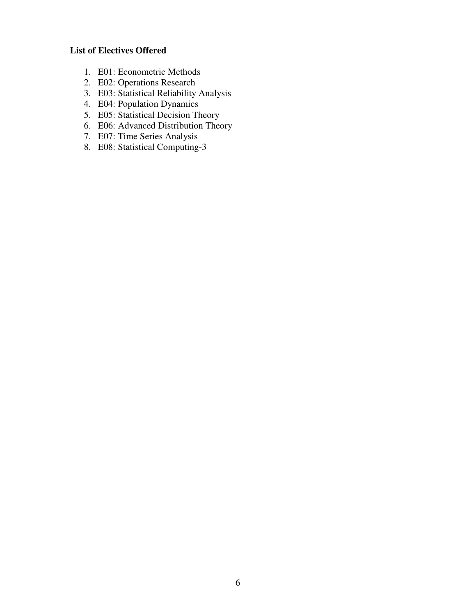# **List of Electives Offered**

- 1. E01: Econometric Methods
- 2. E02: Operations Research
- 3. E03: Statistical Reliability Analysis
- 4. E04: Population Dynamics
- 5. E05: Statistical Decision Theory
- 6. E06: Advanced Distribution Theory
- 7. E07: Time Series Analysis
- 8. E08: Statistical Computing-3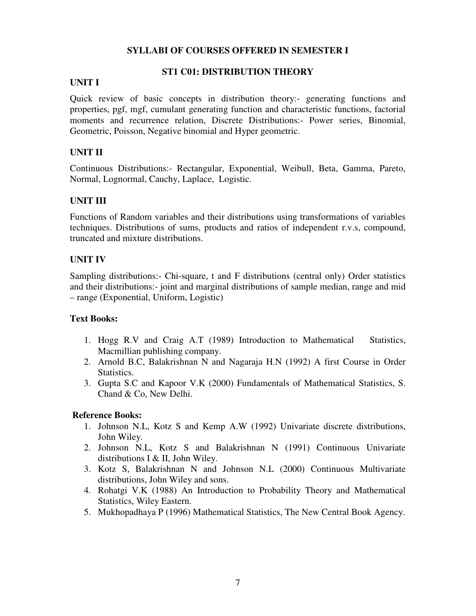### **SYLLABI OF COURSES OFFERED IN SEMESTER I**

### **ST1 C01: DISTRIBUTION THEORY**

# **UNIT I**

Quick review of basic concepts in distribution theory:- generating functions and properties, pgf, mgf, cumulant generating function and characteristic functions, factorial moments and recurrence relation, Discrete Distributions:- Power series, Binomial, Geometric, Poisson, Negative binomial and Hyper geometric.

# **UNIT II**

Continuous Distributions:- Rectangular, Exponential, Weibull, Beta, Gamma, Pareto, Normal, Lognormal, Cauchy, Laplace, Logistic.

# **UNIT III**

Functions of Random variables and their distributions using transformations of variables techniques. Distributions of sums, products and ratios of independent r.v.s, compound, truncated and mixture distributions.

# **UNIT IV**

Sampling distributions:- Chi-square, t and F distributions (central only) Order statistics and their distributions:- joint and marginal distributions of sample median, range and mid – range (Exponential, Uniform, Logistic)

### **Text Books:**

- 1. Hogg R.V and Craig A.T (1989) Introduction to Mathematical Statistics, Macmillian publishing company.
- 2. Arnold B.C, Balakrishnan N and Nagaraja H.N (1992) A first Course in Order Statistics.
- 3. Gupta S.C and Kapoor V.K (2000) Fundamentals of Mathematical Statistics, S. Chand & Co, New Delhi.

- 1. Johnson N.L, Kotz S and Kemp A.W (1992) Univariate discrete distributions, John Wiley.
- 2. Johnson N.L, Kotz S and Balakrishnan N (1991) Continuous Univariate distributions I & II, John Wiley.
- 3. Kotz S, Balakrishnan N and Johnson N.L (2000) Continuous Multivariate distributions, John Wiley and sons.
- 4. Rohatgi V.K (1988) An Introduction to Probability Theory and Mathematical Statistics, Wiley Eastern.
- 5. Mukhopadhaya P (1996) Mathematical Statistics, The New Central Book Agency.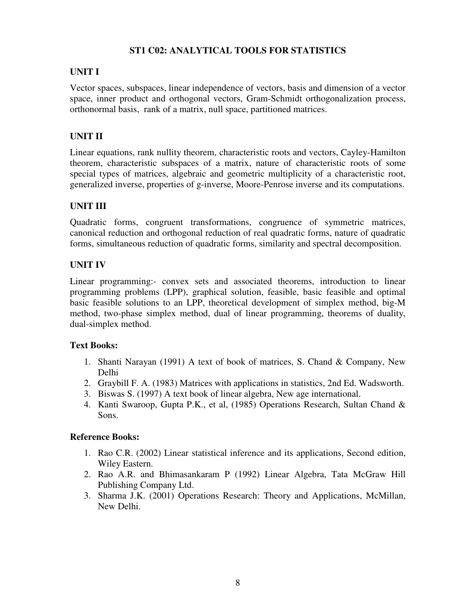# **ST1 C02: ANALYTICAL TOOLS FOR STATISTICS**

# **UNIT I**

Vector spaces, subspaces, linear independence of vectors, basis and dimension of a vector space, inner product and orthogonal vectors, Gram-Schmidt orthogonalization process, orthonormal basis, rank of a matrix, null space, partitioned matrices.

# **UNIT II**

Linear equations, rank nullity theorem, characteristic roots and vectors, Cayley-Hamilton theorem, characteristic subspaces of a matrix, nature of characteristic roots of some special types of matrices, algebraic and geometric multiplicity of a characteristic root, generalized inverse, properties of g-inverse, Moore-Penrose inverse and its computations.

# **UNIT III**

Quadratic forms, congruent transformations, congruence of symmetric matrices, canonical reduction and orthogonal reduction of real quadratic forms, nature of quadratic forms, simultaneous reduction of quadratic forms, similarity and spectral decomposition.

# **UNIT IV**

Linear programming:- convex sets and associated theorems, introduction to linear programming problems (LPP), graphical solution, feasible, basic feasible and optimal basic feasible solutions to an LPP, theoretical development of simplex method, big-M method, two-phase simplex method, dual of linear programming, theorems of duality, dual-simplex method.

# **Text Books:**

- 1. Shanti Narayan (1991) A text of book of matrices, S. Chand & Company, New Delhi
- 2. Graybill F. A. (1983) Matrices with applications in statistics, 2nd Ed. Wadsworth.
- 3. Biswas S. (1997) A text book of linear algebra, New age international.
- 4. Kanti Swaroop, Gupta P.K., et al, (1985) Operations Research, Sultan Chand & Sons.

- 1. Rao C.R. (2002) Linear statistical inference and its applications, Second edition, Wiley Eastern.
- 2. Rao A.R. and Bhimasankaram P (1992) Linear Algebra, Tata McGraw Hill Publishing Company Ltd.
- 3. Sharma J.K. (2001) Operations Research: Theory and Applications, McMillan, New Delhi.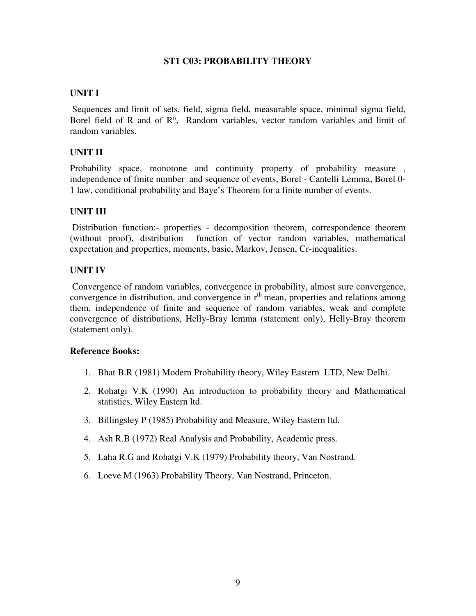### **ST1 C03: PROBABILITY THEORY**

### **UNIT I**

 Sequences and limit of sets, field, sigma field, measurable space, minimal sigma field, Borel field of R and of  $\mathbb{R}^n$ , Random variables, vector random variables and limit of random variables.

# **UNIT II**

Probability space, monotone and continuity property of probability measure, independence of finite number and sequence of events, Borel - Cantelli Lemma, Borel 0- 1 law, conditional probability and Baye's Theorem for a finite number of events.

# **UNIT III**

 Distribution function:- properties - decomposition theorem, correspondence theorem (without proof), distribution function of vector random variables, mathematical expectation and properties, moments, basic, Markov, Jensen, Cr-inequalities.

# **UNIT IV**

 Convergence of random variables, convergence in probability, almost sure convergence, convergence in distribution, and convergence in  $r<sup>th</sup>$  mean, properties and relations among them, independence of finite and sequence of random variables, weak and complete convergence of distributions, Helly-Bray lemma (statement only), Helly-Bray theorem (statement only).

- 1. Bhat B.R (1981) Modern Probability theory, Wiley Eastern LTD, New Delhi.
- 2. Rohatgi V.K (1990) An introduction to probability theory and Mathematical statistics, Wiley Eastern ltd.
- 3. Billingsley P (1985) Probability and Measure, Wiley Eastern ltd.
- 4. Ash R.B (1972) Real Analysis and Probability, Academic press.
- 5. Laha R.G and Rohatgi V.K (1979) Probability theory, Van Nostrand.
- 6. Loeve M (1963) Probability Theory, Van Nostrand, Princeton.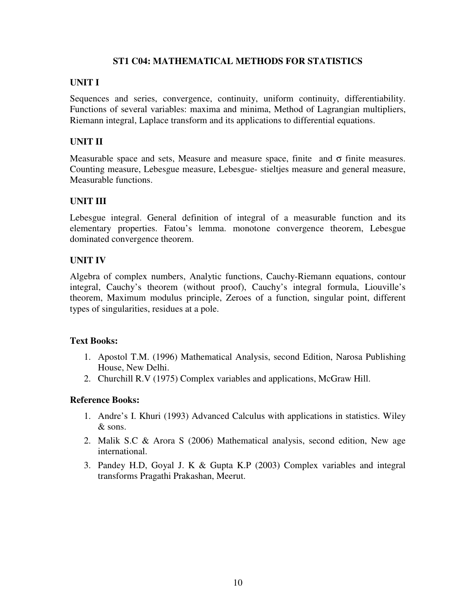### **ST1 C04: MATHEMATICAL METHODS FOR STATISTICS**

# **UNIT I**

Sequences and series, convergence, continuity, uniform continuity, differentiability. Functions of several variables: maxima and minima, Method of Lagrangian multipliers, Riemann integral, Laplace transform and its applications to differential equations.

# **UNIT II**

Measurable space and sets, Measure and measure space, finite and  $\sigma$  finite measures. Counting measure, Lebesgue measure, Lebesgue- stieltjes measure and general measure, Measurable functions.

# **UNIT III**

Lebesgue integral. General definition of integral of a measurable function and its elementary properties. Fatou's lemma. monotone convergence theorem, Lebesgue dominated convergence theorem.

# **UNIT IV**

Algebra of complex numbers, Analytic functions, Cauchy-Riemann equations, contour integral, Cauchy's theorem (without proof), Cauchy's integral formula, Liouville's theorem, Maximum modulus principle, Zeroes of a function, singular point, different types of singularities, residues at a pole.

### **Text Books:**

- 1. Apostol T.M. (1996) Mathematical Analysis, second Edition, Narosa Publishing House, New Delhi.
- 2. Churchill R.V (1975) Complex variables and applications, McGraw Hill.

- 1. Andre's I. Khuri (1993) Advanced Calculus with applications in statistics. Wiley & sons.
- 2. Malik S.C & Arora S (2006) Mathematical analysis, second edition, New age international.
- 3. Pandey H.D, Goyal J. K & Gupta K.P (2003) Complex variables and integral transforms Pragathi Prakashan, Meerut.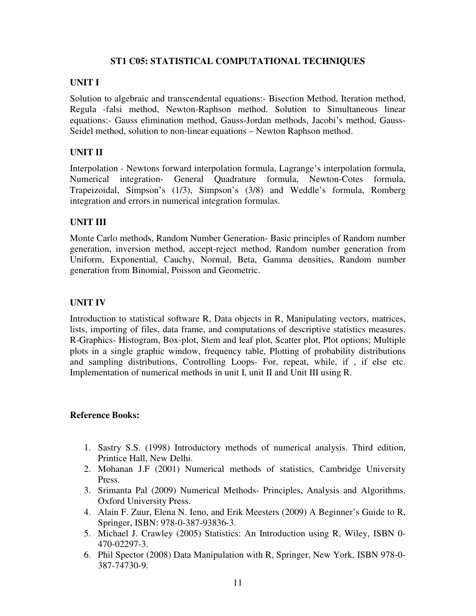### **ST1 C05: STATISTICAL COMPUTATIONAL TECHNIQUES**

# **UNIT I**

Solution to algebraic and transcendental equations:- Bisection Method, Iteration method, Regula -falsi method, Newton-Raphson method. Solution to Simultaneous linear equations:- Gauss elimination method, Gauss-Jordan methods, Jacobi's method, Gauss-Seidel method, solution to non-linear equations – Newton Raphson method.

# **UNIT II**

Interpolation - Newtons forward interpolation formula, Lagrange's interpolation formula, Numerical integration- General Quadrature formula, Newton-Cotes formula, Trapeizoidal, Simpson's (1/3), Simpson's (3/8) and Weddle's formula, Romberg integration and errors in numerical integration formulas.

# **UNIT III**

Monte Carlo methods, Random Number Generation- Basic principles of Random number generation, inversion method, accept-reject method, Random number generation from Uniform, Exponential, Cauchy, Normal, Beta, Gamma densities, Random number generation from Binomial, Poisson and Geometric.

# **UNIT IV**

Introduction to statistical software R, Data objects in R, Manipulating vectors, matrices, lists, importing of files, data frame, and computations of descriptive statistics measures. R-Graphics- Histogram, Box-plot, Stem and leaf plot, Scatter plot, Plot options; Multiple plots in a single graphic window, frequency table, Plotting of probability distributions and sampling distributions, Controlling Loops- For, repeat, while, if , if else etc. Implementation of numerical methods in unit I, unit II and Unit III using R.

- 1. Sastry S.S. (1998) Introductory methods of numerical analysis. Third edition, Printice Hall, New Delhi.
- 2. Mohanan J.F (2001) Numerical methods of statistics, Cambridge University Press.
- 3. Srimanta Pal (2009) Numerical Methods- Principles, Analysis and Algorithms. Oxford University Press.
- 4. Alain F. Zuur, Elena N. Ieno, and Erik Meesters (2009) A Beginner's Guide to R, Springer, ISBN: 978-0-387-93836-3.
- 5. Michael J. Crawley (2005) Statistics: An Introduction using R, Wiley, ISBN 0- 470-02297-3.
- 6. Phil Spector (2008) Data Manipulation with R, Springer, New York, ISBN 978-0- 387-74730-9.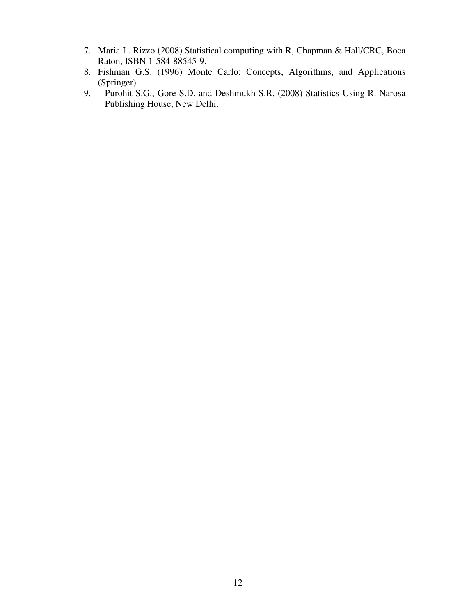- 7. Maria L. Rizzo (2008) Statistical computing with R, Chapman & Hall/CRC, Boca Raton, ISBN 1-584-88545-9.
- 8. Fishman G.S. (1996) Monte Carlo: Concepts, Algorithms, and Applications (Springer).
- 9. Purohit S.G., Gore S.D. and Deshmukh S.R. (2008) Statistics Using R. Narosa Publishing House, New Delhi.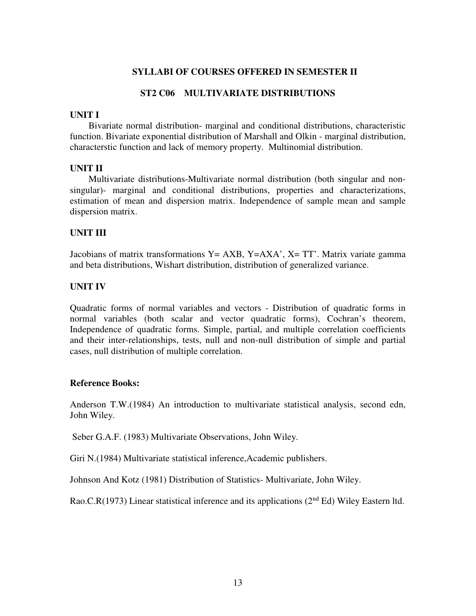#### **SYLLABI OF COURSES OFFERED IN SEMESTER II**

#### **ST2 C06 MULTIVARIATE DISTRIBUTIONS**

#### **UNIT I**

Bivariate normal distribution- marginal and conditional distributions, characteristic function. Bivariate exponential distribution of Marshall and Olkin - marginal distribution, characterstic function and lack of memory property. Multinomial distribution.

#### **UNIT II**

 Multivariate distributions-Multivariate normal distribution (both singular and nonsingular)- marginal and conditional distributions, properties and characterizations, estimation of mean and dispersion matrix. Independence of sample mean and sample dispersion matrix.

#### **UNIT III**

Jacobians of matrix transformations  $Y = AXB$ ,  $Y = AXA'$ ,  $X = TT'$ . Matrix variate gamma and beta distributions, Wishart distribution, distribution of generalized variance.

#### **UNIT IV**

Quadratic forms of normal variables and vectors - Distribution of quadratic forms in normal variables (both scalar and vector quadratic forms), Cochran's theorem, Independence of quadratic forms. Simple, partial, and multiple correlation coefficients and their inter-relationships, tests, null and non-null distribution of simple and partial cases, null distribution of multiple correlation.

#### **Reference Books:**

Anderson T.W.(1984) An introduction to multivariate statistical analysis, second edn, John Wiley.

Seber G.A.F. (1983) Multivariate Observations, John Wiley.

Giri N.(1984) Multivariate statistical inference,Academic publishers.

Johnson And Kotz (1981) Distribution of Statistics- Multivariate, John Wiley.

Rao.C.R(1973) Linear statistical inference and its applications (2<sup>nd</sup> Ed) Wiley Eastern ltd.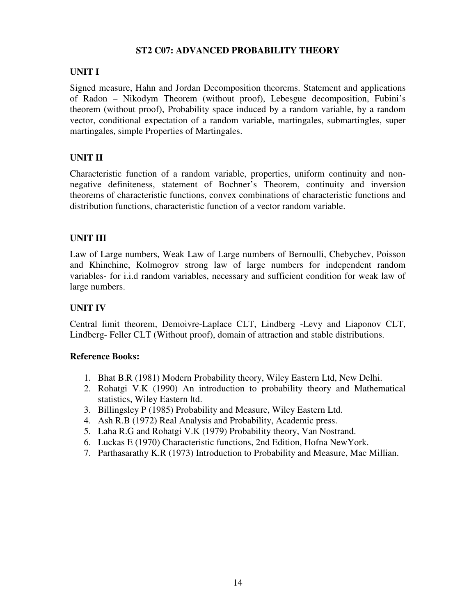### **ST2 C07: ADVANCED PROBABILITY THEORY**

# **UNIT I**

Signed measure, Hahn and Jordan Decomposition theorems. Statement and applications of Radon – Nikodym Theorem (without proof), Lebesgue decomposition, Fubini's theorem (without proof), Probability space induced by a random variable, by a random vector, conditional expectation of a random variable, martingales, submartingles, super martingales, simple Properties of Martingales.

# **UNIT II**

Characteristic function of a random variable, properties, uniform continuity and nonnegative definiteness, statement of Bochner's Theorem, continuity and inversion theorems of characteristic functions, convex combinations of characteristic functions and distribution functions, characteristic function of a vector random variable.

# **UNIT III**

Law of Large numbers, Weak Law of Large numbers of Bernoulli, Chebychev, Poisson and Khinchine, Kolmogrov strong law of large numbers for independent random variables- for i.i.d random variables, necessary and sufficient condition for weak law of large numbers.

# **UNIT IV**

Central limit theorem, Demoivre-Laplace CLT, Lindberg -Levy and Liaponov CLT, Lindberg- Feller CLT (Without proof), domain of attraction and stable distributions.

- 1. Bhat B.R (1981) Modern Probability theory, Wiley Eastern Ltd, New Delhi.
- 2. Rohatgi V.K (1990) An introduction to probability theory and Mathematical statistics, Wiley Eastern ltd.
- 3. Billingsley P (1985) Probability and Measure, Wiley Eastern Ltd.
- 4. Ash R.B (1972) Real Analysis and Probability, Academic press.
- 5. Laha R.G and Rohatgi V.K (1979) Probability theory, Van Nostrand.
- 6. Luckas E (1970) Characteristic functions, 2nd Edition, Hofna NewYork.
- 7. Parthasarathy K.R (1973) Introduction to Probability and Measure, Mac Millian.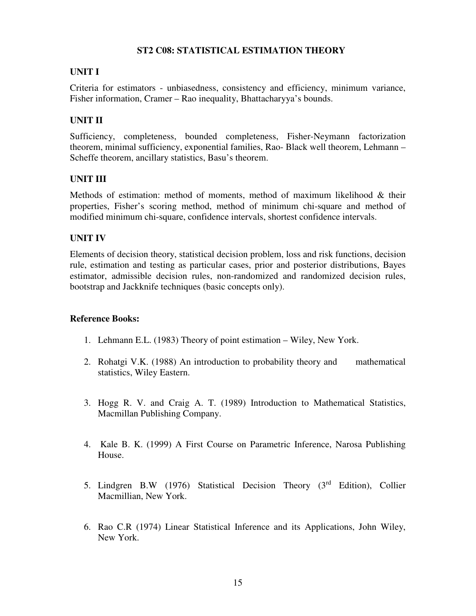# **ST2 C08: STATISTICAL ESTIMATION THEORY**

# **UNIT I**

Criteria for estimators - unbiasedness, consistency and efficiency, minimum variance, Fisher information, Cramer – Rao inequality, Bhattacharyya's bounds.

# **UNIT II**

Sufficiency, completeness, bounded completeness, Fisher-Neymann factorization theorem, minimal sufficiency, exponential families, Rao- Black well theorem, Lehmann – Scheffe theorem, ancillary statistics, Basu's theorem.

### **UNIT III**

Methods of estimation: method of moments, method of maximum likelihood & their properties, Fisher's scoring method, method of minimum chi-square and method of modified minimum chi-square, confidence intervals, shortest confidence intervals.

# **UNIT IV**

Elements of decision theory, statistical decision problem, loss and risk functions, decision rule, estimation and testing as particular cases, prior and posterior distributions, Bayes estimator, admissible decision rules, non-randomized and randomized decision rules, bootstrap and Jackknife techniques (basic concepts only).

- 1. Lehmann E.L. (1983) Theory of point estimation Wiley, New York.
- 2. Rohatgi V.K. (1988) An introduction to probability theory and mathematical statistics, Wiley Eastern.
- 3. Hogg R. V. and Craig A. T. (1989) Introduction to Mathematical Statistics, Macmillan Publishing Company.
- 4. Kale B. K. (1999) A First Course on Parametric Inference, Narosa Publishing House.
- 5. Lindgren B.W (1976) Statistical Decision Theory (3rd Edition), Collier Macmillian, New York.
- 6. Rao C.R (1974) Linear Statistical Inference and its Applications, John Wiley, New York.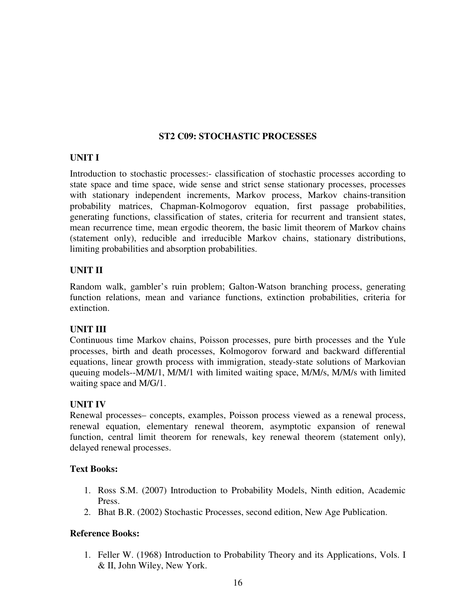# **ST2 C09: STOCHASTIC PROCESSES**

# **UNIT I**

Introduction to stochastic processes:- classification of stochastic processes according to state space and time space, wide sense and strict sense stationary processes, processes with stationary independent increments, Markov process, Markov chains-transition probability matrices, Chapman-Kolmogorov equation, first passage probabilities, generating functions, classification of states, criteria for recurrent and transient states, mean recurrence time, mean ergodic theorem, the basic limit theorem of Markov chains (statement only), reducible and irreducible Markov chains, stationary distributions, limiting probabilities and absorption probabilities.

# **UNIT II**

Random walk, gambler's ruin problem; Galton-Watson branching process, generating function relations, mean and variance functions, extinction probabilities, criteria for extinction.

# **UNIT III**

Continuous time Markov chains, Poisson processes, pure birth processes and the Yule processes, birth and death processes, Kolmogorov forward and backward differential equations, linear growth process with immigration, steady-state solutions of Markovian queuing models--M/M/1, M/M/1 with limited waiting space, M/M/s, M/M/s with limited waiting space and M/G/1.

# **UNIT IV**

Renewal processes– concepts, examples, Poisson process viewed as a renewal process, renewal equation, elementary renewal theorem, asymptotic expansion of renewal function, central limit theorem for renewals, key renewal theorem (statement only), delayed renewal processes.

# **Text Books:**

- 1. Ross S.M. (2007) Introduction to Probability Models, Ninth edition, Academic Press.
- 2. Bhat B.R. (2002) Stochastic Processes, second edition, New Age Publication.

# **Reference Books:**

1. Feller W. (1968) Introduction to Probability Theory and its Applications, Vols. I & II, John Wiley, New York.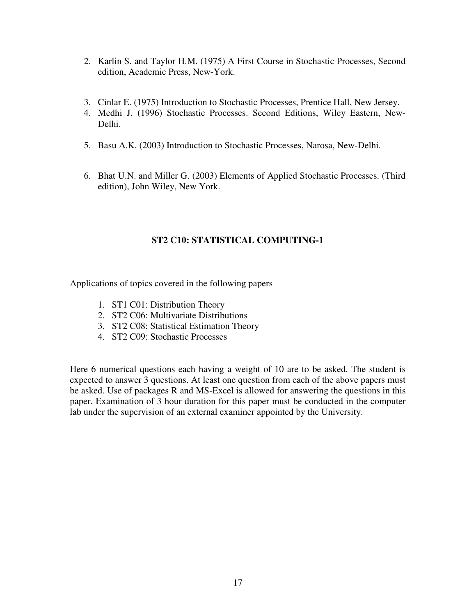- 2. Karlin S. and Taylor H.M. (1975) A First Course in Stochastic Processes, Second edition, Academic Press, New-York.
- 3. Cinlar E. (1975) Introduction to Stochastic Processes, Prentice Hall, New Jersey.
- 4. Medhi J. (1996) Stochastic Processes. Second Editions, Wiley Eastern, New-Delhi.
- 5. Basu A.K. (2003) Introduction to Stochastic Processes, Narosa, New-Delhi.
- 6. Bhat U.N. and Miller G. (2003) Elements of Applied Stochastic Processes. (Third edition), John Wiley, New York.

# **ST2 C10: STATISTICAL COMPUTING-1**

Applications of topics covered in the following papers

- 1. ST1 C01: Distribution Theory
- 2. ST2 C06: Multivariate Distributions
- 3. ST2 C08: Statistical Estimation Theory
- 4. ST2 C09: Stochastic Processes

Here 6 numerical questions each having a weight of 10 are to be asked. The student is expected to answer 3 questions. At least one question from each of the above papers must be asked. Use of packages R and MS-Excel is allowed for answering the questions in this paper. Examination of 3 hour duration for this paper must be conducted in the computer lab under the supervision of an external examiner appointed by the University.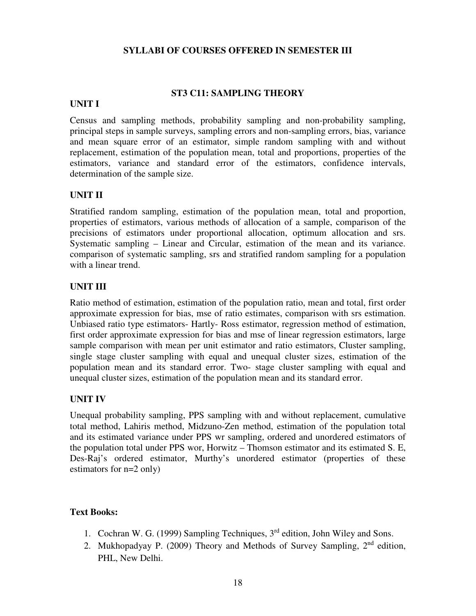#### **SYLLABI OF COURSES OFFERED IN SEMESTER III**

#### **ST3 C11: SAMPLING THEORY**

#### **UNIT I**

Census and sampling methods, probability sampling and non-probability sampling, principal steps in sample surveys, sampling errors and non-sampling errors, bias, variance and mean square error of an estimator, simple random sampling with and without replacement, estimation of the population mean, total and proportions, properties of the estimators, variance and standard error of the estimators, confidence intervals, determination of the sample size.

#### **UNIT II**

Stratified random sampling, estimation of the population mean, total and proportion, properties of estimators, various methods of allocation of a sample, comparison of the precisions of estimators under proportional allocation, optimum allocation and srs. Systematic sampling – Linear and Circular, estimation of the mean and its variance. comparison of systematic sampling, srs and stratified random sampling for a population with a linear trend.

#### **UNIT III**

Ratio method of estimation, estimation of the population ratio, mean and total, first order approximate expression for bias, mse of ratio estimates, comparison with srs estimation. Unbiased ratio type estimators- Hartly- Ross estimator, regression method of estimation, first order approximate expression for bias and mse of linear regression estimators, large sample comparison with mean per unit estimator and ratio estimators, Cluster sampling, single stage cluster sampling with equal and unequal cluster sizes, estimation of the population mean and its standard error. Two- stage cluster sampling with equal and unequal cluster sizes, estimation of the population mean and its standard error.

#### **UNIT IV**

Unequal probability sampling, PPS sampling with and without replacement, cumulative total method, Lahiris method, Midzuno-Zen method, estimation of the population total and its estimated variance under PPS wr sampling, ordered and unordered estimators of the population total under PPS wor, Horwitz – Thomson estimator and its estimated S. E, Des-Raj's ordered estimator, Murthy's unordered estimator (properties of these estimators for n=2 only)

### **Text Books:**

- 1. Cochran W. G. (1999) Sampling Techniques, 3rd edition, John Wiley and Sons.
- 2. Mukhopadyay P. (2009) Theory and Methods of Survey Sampling, 2<sup>nd</sup> edition, PHL, New Delhi.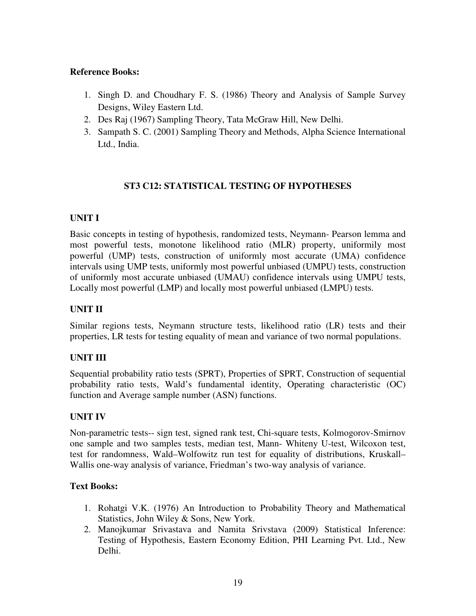# **Reference Books:**

- 1. Singh D. and Choudhary F. S. (1986) Theory and Analysis of Sample Survey Designs, Wiley Eastern Ltd.
- 2. Des Raj (1967) Sampling Theory, Tata McGraw Hill, New Delhi.
- 3. Sampath S. C. (2001) Sampling Theory and Methods, Alpha Science International Ltd., India.

# **ST3 C12: STATISTICAL TESTING OF HYPOTHESES**

# **UNIT I**

Basic concepts in testing of hypothesis, randomized tests, Neymann- Pearson lemma and most powerful tests, monotone likelihood ratio (MLR) property, uniformily most powerful (UMP) tests, construction of uniformly most accurate (UMA) confidence intervals using UMP tests, uniformly most powerful unbiased (UMPU) tests, construction of uniformly most accurate unbiased (UMAU) confidence intervals using UMPU tests, Locally most powerful (LMP) and locally most powerful unbiased (LMPU) tests.

# **UNIT II**

Similar regions tests, Neymann structure tests, likelihood ratio (LR) tests and their properties, LR tests for testing equality of mean and variance of two normal populations.

# **UNIT III**

Sequential probability ratio tests (SPRT), Properties of SPRT, Construction of sequential probability ratio tests, Wald's fundamental identity, Operating characteristic (OC) function and Average sample number (ASN) functions.

# **UNIT IV**

Non-parametric tests-- sign test, signed rank test, Chi-square tests, Kolmogorov-Smirnov one sample and two samples tests, median test, Mann- Whiteny U-test, Wilcoxon test, test for randomness, Wald–Wolfowitz run test for equality of distributions, Kruskall– Wallis one-way analysis of variance, Friedman's two-way analysis of variance.

# **Text Books:**

- 1. Rohatgi V.K. (1976) An Introduction to Probability Theory and Mathematical Statistics, John Wiley & Sons, New York.
- 2. Manojkumar Srivastava and Namita Srivstava (2009) Statistical Inference: Testing of Hypothesis, Eastern Economy Edition, PHI Learning Pvt. Ltd., New Delhi.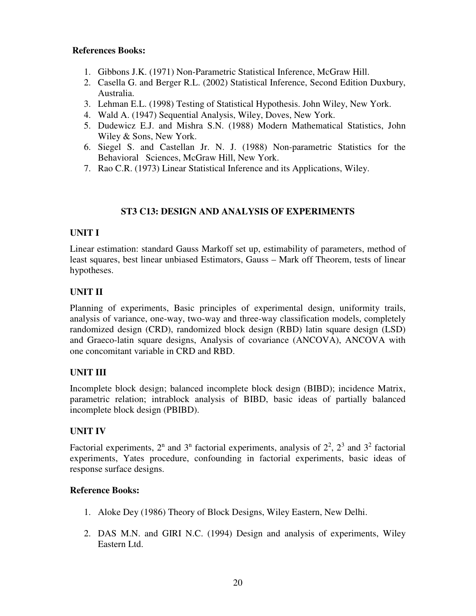# **References Books:**

- 1. Gibbons J.K. (1971) Non-Parametric Statistical Inference, McGraw Hill.
- 2. Casella G. and Berger R.L. (2002) Statistical Inference, Second Edition Duxbury, Australia.
- 3. Lehman E.L. (1998) Testing of Statistical Hypothesis. John Wiley, New York.
- 4. Wald A. (1947) Sequential Analysis, Wiley, Doves, New York.
- 5. Dudewicz E.J. and Mishra S.N. (1988) Modern Mathematical Statistics, John Wiley & Sons, New York.
- 6. Siegel S. and Castellan Jr. N. J. (1988) Non-parametric Statistics for the Behavioral Sciences, McGraw Hill, New York.
- 7. Rao C.R. (1973) Linear Statistical Inference and its Applications, Wiley.

# **ST3 C13: DESIGN AND ANALYSIS OF EXPERIMENTS**

# **UNIT I**

Linear estimation: standard Gauss Markoff set up, estimability of parameters, method of least squares, best linear unbiased Estimators, Gauss – Mark off Theorem, tests of linear hypotheses.

# **UNIT II**

Planning of experiments, Basic principles of experimental design, uniformity trails, analysis of variance, one-way, two-way and three-way classification models, completely randomized design (CRD), randomized block design (RBD) latin square design (LSD) and Graeco-latin square designs, Analysis of covariance (ANCOVA), ANCOVA with one concomitant variable in CRD and RBD.

# **UNIT III**

Incomplete block design; balanced incomplete block design (BIBD); incidence Matrix, parametric relation; intrablock analysis of BIBD, basic ideas of partially balanced incomplete block design (PBIBD).

# **UNIT IV**

Factorial experiments,  $2^n$  and  $3^n$  factorial experiments, analysis of  $2^2$ ,  $2^3$  and  $3^2$  factorial experiments, Yates procedure, confounding in factorial experiments, basic ideas of response surface designs.

- 1. Aloke Dey (1986) Theory of Block Designs, Wiley Eastern, New Delhi.
- 2. DAS M.N. and GIRI N.C. (1994) Design and analysis of experiments, Wiley Eastern Ltd.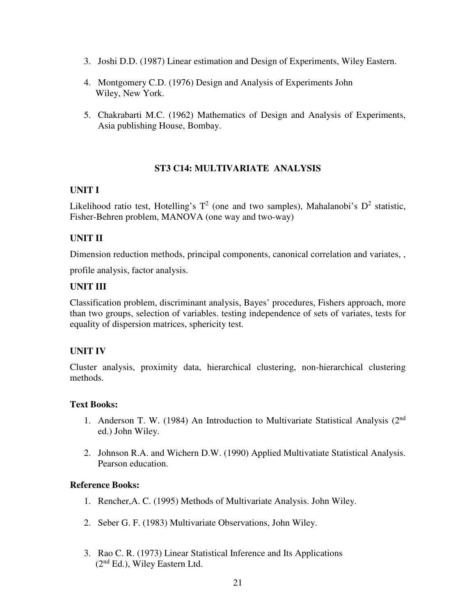- 3. Joshi D.D. (1987) Linear estimation and Design of Experiments, Wiley Eastern.
- 4. Montgomery C.D. (1976) Design and Analysis of Experiments John Wiley, New York.
- 5. Chakrabarti M.C. (1962) Mathematics of Design and Analysis of Experiments, Asia publishing House, Bombay.

# **ST3 C14: MULTIVARIATE ANALYSIS**

### **UNIT I**

Likelihood ratio test, Hotelling's  $T^2$  (one and two samples), Mahalanobi's  $D^2$  statistic, Fisher-Behren problem, MANOVA (one way and two-way)

# **UNIT II**

Dimension reduction methods, principal components, canonical correlation and variates, ,

profile analysis, factor analysis.

# **UNIT III**

Classification problem, discriminant analysis, Bayes' procedures, Fishers approach, more than two groups, selection of variables. testing independence of sets of variates, tests for equality of dispersion matrices, sphericity test.

# **UNIT IV**

Cluster analysis, proximity data, hierarchical clustering, non-hierarchical clustering methods.

### **Text Books:**

- 1. Anderson T. W. (1984) An Introduction to Multivariate Statistical Analysis (2nd ed.) John Wiley.
- 2. Johnson R.A. and Wichern D.W. (1990) Applied Multivatiate Statistical Analysis. Pearson education.

- 1. Rencher,A. C. (1995) Methods of Multivariate Analysis. John Wiley.
- 2. Seber G. F. (1983) Multivariate Observations, John Wiley.
- 3. Rao C. R. (1973) Linear Statistical Inference and Its Applications (2nd Ed.), Wiley Eastern Ltd.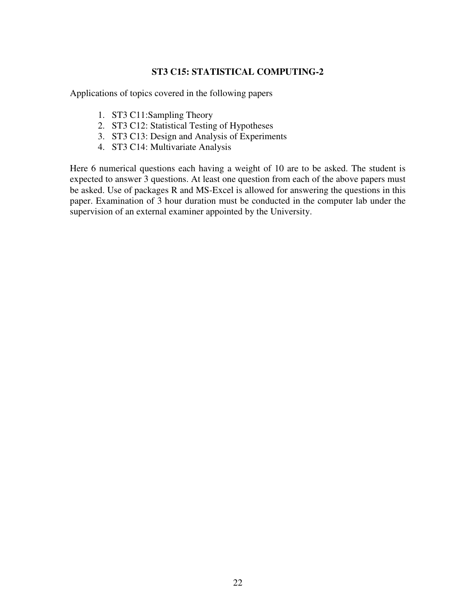# **ST3 C15: STATISTICAL COMPUTING-2**

Applications of topics covered in the following papers

- 1. ST3 C11:Sampling Theory
- 2. ST3 C12: Statistical Testing of Hypotheses
- 3. ST3 C13: Design and Analysis of Experiments
- 4. ST3 C14: Multivariate Analysis

Here 6 numerical questions each having a weight of 10 are to be asked. The student is expected to answer 3 questions. At least one question from each of the above papers must be asked. Use of packages R and MS-Excel is allowed for answering the questions in this paper. Examination of 3 hour duration must be conducted in the computer lab under the supervision of an external examiner appointed by the University.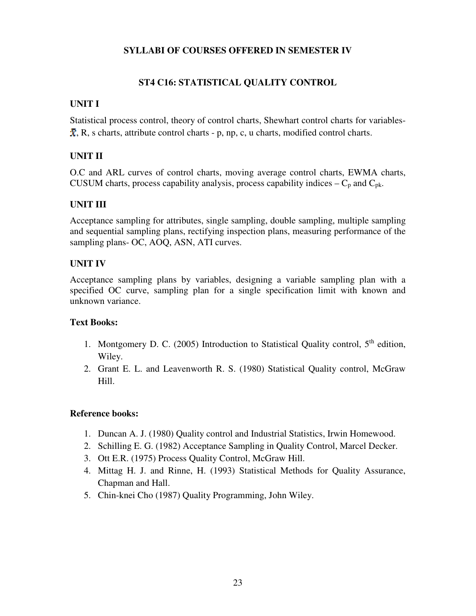# **SYLLABI OF COURSES OFFERED IN SEMESTER IV**

# **ST4 C16: STATISTICAL QUALITY CONTROL**

# **UNIT I**

Statistical process control, theory of control charts, Shewhart control charts for variables-  $\bar{x}$ , R, s charts, attribute control charts - p, np, c, u charts, modified control charts.

# **UNIT II**

O.C and ARL curves of control charts, moving average control charts, EWMA charts, CUSUM charts, process capability analysis, process capability indices  $-C_p$  and  $C_{pk}$ .

# **UNIT III**

Acceptance sampling for attributes, single sampling, double sampling, multiple sampling and sequential sampling plans, rectifying inspection plans, measuring performance of the sampling plans- OC, AOQ, ASN, ATI curves.

# **UNIT IV**

Acceptance sampling plans by variables, designing a variable sampling plan with a specified OC curve, sampling plan for a single specification limit with known and unknown variance.

# **Text Books:**

- 1. Montgomery D. C. (2005) Introduction to Statistical Quality control,  $5<sup>th</sup>$  edition, Wiley.
- 2. Grant E. L. and Leavenworth R. S. (1980) Statistical Quality control, McGraw Hill.

- 1. Duncan A. J. (1980) Quality control and Industrial Statistics, Irwin Homewood.
- 2. Schilling E. G. (1982) Acceptance Sampling in Quality Control, Marcel Decker.
- 3. Ott E.R. (1975) Process Quality Control, McGraw Hill.
- 4. Mittag H. J. and Rinne, H. (1993) Statistical Methods for Quality Assurance, Chapman and Hall.
- 5. Chin-knei Cho (1987) Quality Programming, John Wiley.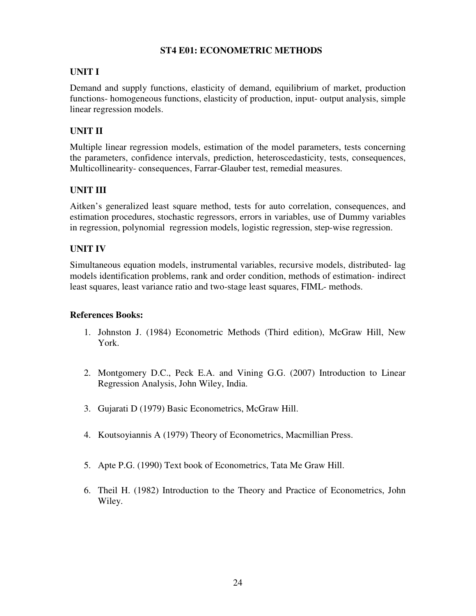# **ST4 E01: ECONOMETRIC METHODS**

# **UNIT I**

Demand and supply functions, elasticity of demand, equilibrium of market, production functions- homogeneous functions, elasticity of production, input- output analysis, simple linear regression models.

# **UNIT II**

Multiple linear regression models, estimation of the model parameters, tests concerning the parameters, confidence intervals, prediction, heteroscedasticity, tests, consequences, Multicollinearity- consequences, Farrar-Glauber test, remedial measures.

# **UNIT III**

Aitken's generalized least square method, tests for auto correlation, consequences, and estimation procedures, stochastic regressors, errors in variables, use of Dummy variables in regression, polynomial regression models, logistic regression, step-wise regression.

# **UNIT IV**

Simultaneous equation models, instrumental variables, recursive models, distributed- lag models identification problems, rank and order condition, methods of estimation- indirect least squares, least variance ratio and two-stage least squares, FIML- methods.

- 1. Johnston J. (1984) Econometric Methods (Third edition), McGraw Hill, New York.
- 2. Montgomery D.C., Peck E.A. and Vining G.G. (2007) Introduction to Linear Regression Analysis, John Wiley, India.
- 3. Gujarati D (1979) Basic Econometrics, McGraw Hill.
- 4. Koutsoyiannis A (1979) Theory of Econometrics, Macmillian Press.
- 5. Apte P.G. (1990) Text book of Econometrics, Tata Me Graw Hill.
- 6. Theil H. (1982) Introduction to the Theory and Practice of Econometrics, John Wiley.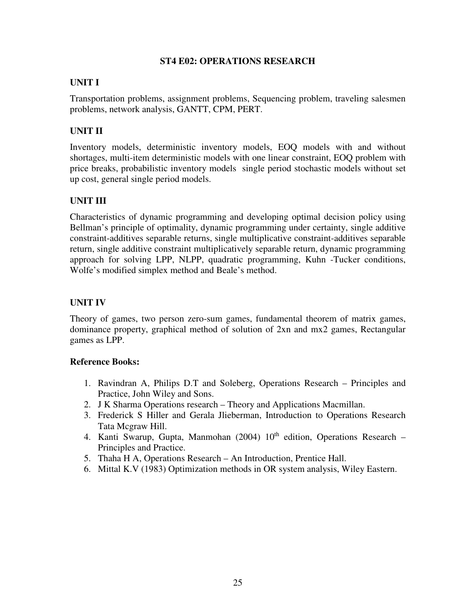#### **ST4 E02: OPERATIONS RESEARCH**

# **UNIT I**

Transportation problems, assignment problems, Sequencing problem, traveling salesmen problems, network analysis, GANTT, CPM, PERT.

# **UNIT II**

Inventory models, deterministic inventory models, EOQ models with and without shortages, multi-item deterministic models with one linear constraint, EOQ problem with price breaks, probabilistic inventory models single period stochastic models without set up cost, general single period models.

# **UNIT III**

Characteristics of dynamic programming and developing optimal decision policy using Bellman's principle of optimality, dynamic programming under certainty, single additive constraint-additives separable returns, single multiplicative constraint-additives separable return, single additive constraint multiplicatively separable return, dynamic programming approach for solving LPP, NLPP, quadratic programming, Kuhn -Tucker conditions, Wolfe's modified simplex method and Beale's method.

# **UNIT IV**

Theory of games, two person zero-sum games, fundamental theorem of matrix games, dominance property, graphical method of solution of 2xn and mx2 games, Rectangular games as LPP.

- 1. Ravindran A, Philips D.T and Soleberg, Operations Research Principles and Practice, John Wiley and Sons.
- 2. J K Sharma Operations research Theory and Applications Macmillan.
- 3. Frederick S Hiller and Gerala Jlieberman, Introduction to Operations Research Tata Mcgraw Hill.
- 4. Kanti Swarup, Gupta, Manmohan (2004)  $10<sup>th</sup>$  edition, Operations Research Principles and Practice.
- 5. Thaha H A, Operations Research An Introduction, Prentice Hall.
- 6. Mittal K.V (1983) Optimization methods in OR system analysis, Wiley Eastern.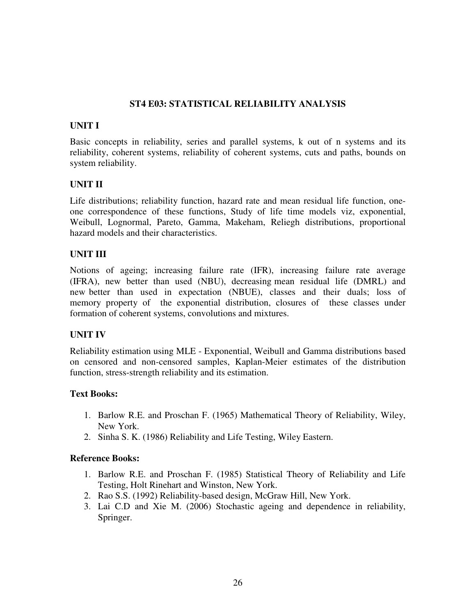# **ST4 E03: STATISTICAL RELIABILITY ANALYSIS**

# **UNIT I**

Basic concepts in reliability, series and parallel systems, k out of n systems and its reliability, coherent systems, reliability of coherent systems, cuts and paths, bounds on system reliability.

# **UNIT II**

Life distributions; reliability function, hazard rate and mean residual life function, oneone correspondence of these functions, Study of life time models viz, exponential, Weibull, Lognormal, Pareto, Gamma, Makeham, Reliegh distributions, proportional hazard models and their characteristics.

# **UNIT III**

Notions of ageing; increasing failure rate (IFR), increasing failure rate average (IFRA), new better than used (NBU), decreasing mean residual life (DMRL) and new better than used in expectation (NBUE), classes and their duals; loss of memory property of the exponential distribution, closures of these classes under formation of coherent systems, convolutions and mixtures.

### **UNIT IV**

Reliability estimation using MLE - Exponential, Weibull and Gamma distributions based on censored and non-censored samples, Kaplan-Meier estimates of the distribution function, stress-strength reliability and its estimation.

### **Text Books:**

- 1. Barlow R.E. and Proschan F. (1965) Mathematical Theory of Reliability, Wiley, New York.
- 2. Sinha S. K. (1986) Reliability and Life Testing, Wiley Eastern.

- 1. Barlow R.E. and Proschan F. (1985) Statistical Theory of Reliability and Life Testing, Holt Rinehart and Winston, New York.
- 2. Rao S.S. (1992) Reliability-based design, McGraw Hill, New York.
- 3. Lai C.D and Xie M. (2006) Stochastic ageing and dependence in reliability, Springer.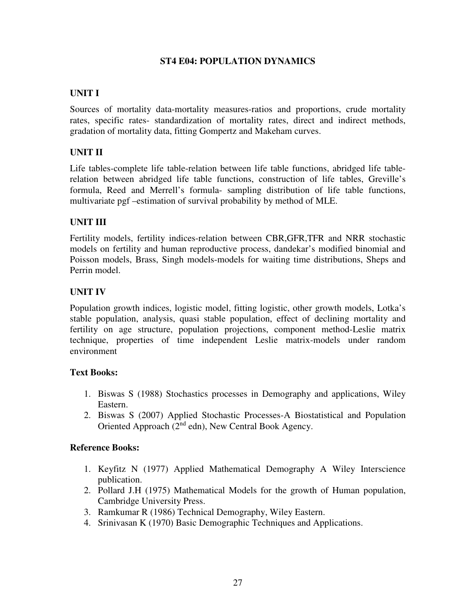# **ST4 E04: POPULATION DYNAMICS**

### **UNIT I**

Sources of mortality data-mortality measures-ratios and proportions, crude mortality rates, specific rates- standardization of mortality rates, direct and indirect methods, gradation of mortality data, fitting Gompertz and Makeham curves.

# **UNIT II**

Life tables-complete life table-relation between life table functions, abridged life tablerelation between abridged life table functions, construction of life tables, Greville's formula, Reed and Merrell's formula- sampling distribution of life table functions, multivariate pgf –estimation of survival probability by method of MLE.

# **UNIT III**

Fertility models, fertility indices-relation between CBR,GFR,TFR and NRR stochastic models on fertility and human reproductive process, dandekar's modified binomial and Poisson models, Brass, Singh models-models for waiting time distributions, Sheps and Perrin model.

# **UNIT IV**

Population growth indices, logistic model, fitting logistic, other growth models, Lotka's stable population, analysis, quasi stable population, effect of declining mortality and fertility on age structure, population projections, component method-Leslie matrix technique, properties of time independent Leslie matrix-models under random environment

### **Text Books:**

- 1. Biswas S (1988) Stochastics processes in Demography and applications, Wiley Eastern.
- 2. Biswas S (2007) Applied Stochastic Processes-A Biostatistical and Population Oriented Approach  $(2<sup>nd</sup>$  edn), New Central Book Agency.

- 1. Keyfitz N (1977) Applied Mathematical Demography A Wiley Interscience publication.
- 2. Pollard J.H (1975) Mathematical Models for the growth of Human population, Cambridge University Press.
- 3. Ramkumar R (1986) Technical Demography, Wiley Eastern.
- 4. Srinivasan K (1970) Basic Demographic Techniques and Applications.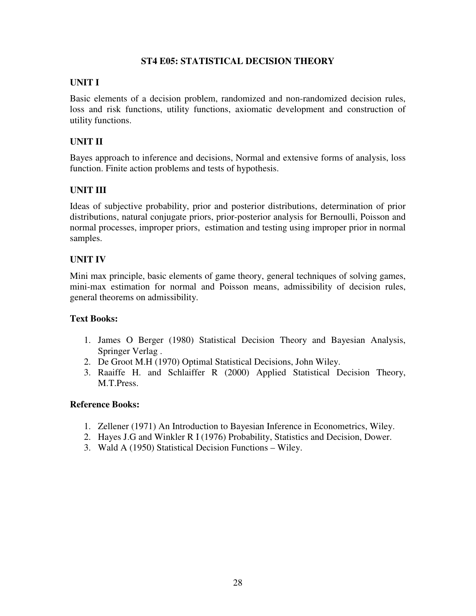### **ST4 E05: STATISTICAL DECISION THEORY**

# **UNIT I**

Basic elements of a decision problem, randomized and non-randomized decision rules, loss and risk functions, utility functions, axiomatic development and construction of utility functions.

# **UNIT II**

Bayes approach to inference and decisions, Normal and extensive forms of analysis, loss function. Finite action problems and tests of hypothesis.

# **UNIT III**

Ideas of subjective probability, prior and posterior distributions, determination of prior distributions, natural conjugate priors, prior-posterior analysis for Bernoulli, Poisson and normal processes, improper priors, estimation and testing using improper prior in normal samples.

# **UNIT IV**

Mini max principle, basic elements of game theory, general techniques of solving games, mini-max estimation for normal and Poisson means, admissibility of decision rules, general theorems on admissibility.

### **Text Books:**

- 1. James O Berger (1980) Statistical Decision Theory and Bayesian Analysis, Springer Verlag .
- 2. De Groot M.H (1970) Optimal Statistical Decisions, John Wiley.
- 3. Raaiffe H. and Schlaiffer R (2000) Applied Statistical Decision Theory, M.T.Press.

- 1. Zellener (1971) An Introduction to Bayesian Inference in Econometrics, Wiley.
- 2. Hayes J.G and Winkler R I (1976) Probability, Statistics and Decision, Dower.
- 3. Wald A (1950) Statistical Decision Functions Wiley.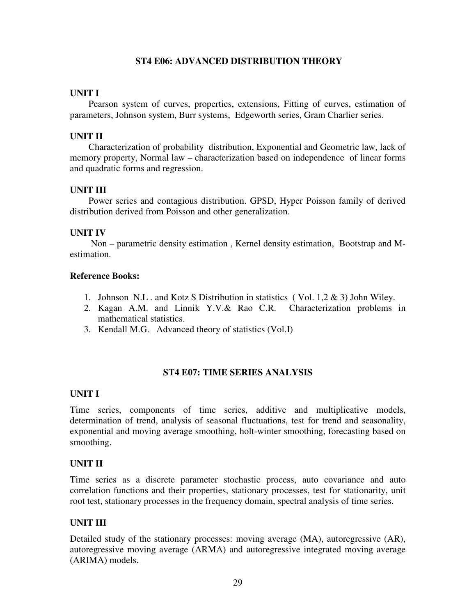#### **ST4 E06: ADVANCED DISTRIBUTION THEORY**

#### **UNIT I**

Pearson system of curves, properties, extensions, Fitting of curves, estimation of parameters, Johnson system, Burr systems, Edgeworth series, Gram Charlier series.

### **UNIT II**

 Characterization of probability distribution, Exponential and Geometric law, lack of memory property, Normal law – characterization based on independence of linear forms and quadratic forms and regression.

### **UNIT III**

 Power series and contagious distribution. GPSD, Hyper Poisson family of derived distribution derived from Poisson and other generalization.

#### **UNIT IV**

 Non – parametric density estimation , Kernel density estimation, Bootstrap and Mestimation.

#### **Reference Books:**

- 1. Johnson N.L . and Kotz S Distribution in statistics ( Vol. 1,2 & 3) John Wiley.
- 2. Kagan A.M. and Linnik Y.V.& Rao C.R. Characterization problems in mathematical statistics.
- 3. Kendall M.G. Advanced theory of statistics (Vol.I)

### **ST4 E07: TIME SERIES ANALYSIS**

### **UNIT I**

Time series, components of time series, additive and multiplicative models, determination of trend, analysis of seasonal fluctuations, test for trend and seasonality, exponential and moving average smoothing, holt-winter smoothing, forecasting based on smoothing.

### **UNIT II**

Time series as a discrete parameter stochastic process, auto covariance and auto correlation functions and their properties, stationary processes, test for stationarity, unit root test, stationary processes in the frequency domain, spectral analysis of time series.

### **UNIT III**

Detailed study of the stationary processes: moving average (MA), autoregressive (AR), autoregressive moving average (ARMA) and autoregressive integrated moving average (ARIMA) models.